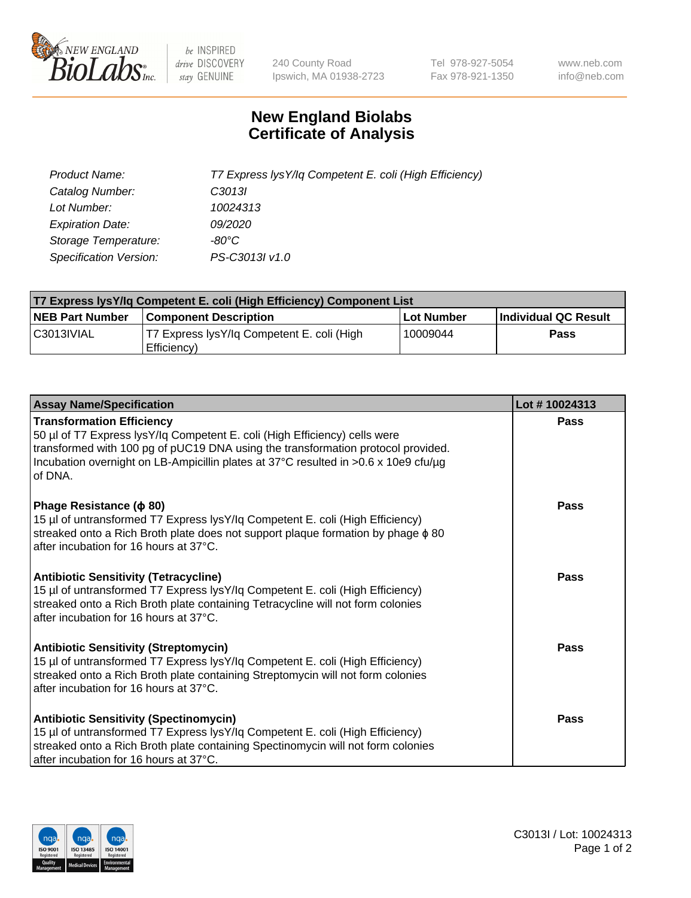

 $be$  INSPIRED drive DISCOVERY stay GENUINE

240 County Road Ipswich, MA 01938-2723 Tel 978-927-5054 Fax 978-921-1350 www.neb.com info@neb.com

## **New England Biolabs Certificate of Analysis**

| Product Name:           | T7 Express lysY/lq Competent E. coli (High Efficiency) |
|-------------------------|--------------------------------------------------------|
| Catalog Number:         | C <sub>3013</sub>                                      |
| Lot Number:             | 10024313                                               |
| <b>Expiration Date:</b> | <i>09/2020</i>                                         |
| Storage Temperature:    | -80°C                                                  |
| Specification Version:  | PS-C3013I v1.0                                         |

| T7 Express lysY/lq Competent E. coli (High Efficiency) Component List |                                                           |            |                      |  |
|-----------------------------------------------------------------------|-----------------------------------------------------------|------------|----------------------|--|
| <b>NEB Part Number</b>                                                | <b>Component Description</b>                              | Lot Number | Individual QC Result |  |
| C3013IVIAL                                                            | T7 Express lysY/lg Competent E. coli (High<br>Efficiency) | 10009044   | Pass                 |  |

| <b>Assay Name/Specification</b>                                                                                                                                                                                                                                                                      | Lot #10024313 |
|------------------------------------------------------------------------------------------------------------------------------------------------------------------------------------------------------------------------------------------------------------------------------------------------------|---------------|
| <b>Transformation Efficiency</b><br>50 µl of T7 Express lysY/lq Competent E. coli (High Efficiency) cells were<br>transformed with 100 pg of pUC19 DNA using the transformation protocol provided.<br>Incubation overnight on LB-Ampicillin plates at 37°C resulted in >0.6 x 10e9 cfu/µg<br>of DNA. | Pass          |
| Phage Resistance ( $\phi$ 80)<br>15 µl of untransformed T7 Express lysY/lq Competent E. coli (High Efficiency)<br>streaked onto a Rich Broth plate does not support plaque formation by phage $\phi$ 80<br>after incubation for 16 hours at 37°C.                                                    | Pass          |
| <b>Antibiotic Sensitivity (Tetracycline)</b><br>15 µl of untransformed T7 Express lysY/lq Competent E. coli (High Efficiency)<br>streaked onto a Rich Broth plate containing Tetracycline will not form colonies<br>after incubation for 16 hours at 37°C.                                           | <b>Pass</b>   |
| <b>Antibiotic Sensitivity (Streptomycin)</b><br>15 µl of untransformed T7 Express lysY/lq Competent E. coli (High Efficiency)<br>streaked onto a Rich Broth plate containing Streptomycin will not form colonies<br>after incubation for 16 hours at 37°C.                                           | Pass          |
| <b>Antibiotic Sensitivity (Spectinomycin)</b><br>15 µl of untransformed T7 Express lysY/lq Competent E. coli (High Efficiency)<br>streaked onto a Rich Broth plate containing Spectinomycin will not form colonies<br>after incubation for 16 hours at 37°C.                                         | <b>Pass</b>   |